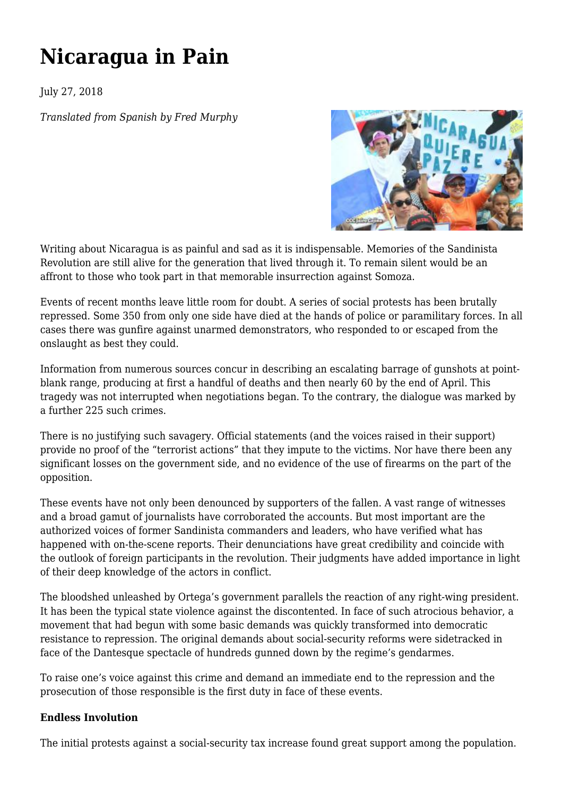## **[Nicaragua in Pain](https://newpol.org/nicaragua-pain/)**

July 27, 2018

*Translated from Spanish by Fred Murphy*



Writing about Nicaragua is as painful and sad as it is indispensable. Memories of the Sandinista Revolution are still alive for the generation that lived through it. To remain silent would be an affront to those who took part in that memorable insurrection against Somoza.

Events of recent months leave little room for doubt. A series of social protests has been brutally repressed. Some 350 from only one side have died at the hands of police or paramilitary forces. In all cases there was gunfire against unarmed demonstrators, who responded to or escaped from the onslaught as best they could.

Information from numerous sources concur in describing an escalating barrage of gunshots at pointblank range, producing at first a handful of deaths and then nearly 60 by the end of April. This tragedy was not interrupted when negotiations began. To the contrary, the dialogue was marked by a further 225 such crimes.

There is no justifying such savagery. Official statements (and the voices raised in their support) provide no proof of the "terrorist actions" that they impute to the victims. Nor have there been any significant losses on the government side, and no evidence of the use of firearms on the part of the opposition.

These events have not only been denounced by supporters of the fallen. A vast range of witnesses and a broad gamut of journalists have corroborated the accounts. But most important are the authorized voices of former Sandinista commanders and leaders, who have verified what has happened with on-the-scene reports. Their denunciations have great credibility and coincide with the outlook of foreign participants in the revolution. Their judgments have added importance in light of their deep knowledge of the actors in conflict.

The bloodshed unleashed by Ortega's government parallels the reaction of any right-wing president. It has been the typical state violence against the discontented. In face of such atrocious behavior, a movement that had begun with some basic demands was quickly transformed into democratic resistance to repression. The original demands about social-security reforms were sidetracked in face of the Dantesque spectacle of hundreds gunned down by the regime's gendarmes.

To raise one's voice against this crime and demand an immediate end to the repression and the prosecution of those responsible is the first duty in face of these events.

## **Endless Involution**

The initial protests against a social-security tax increase found great support among the population.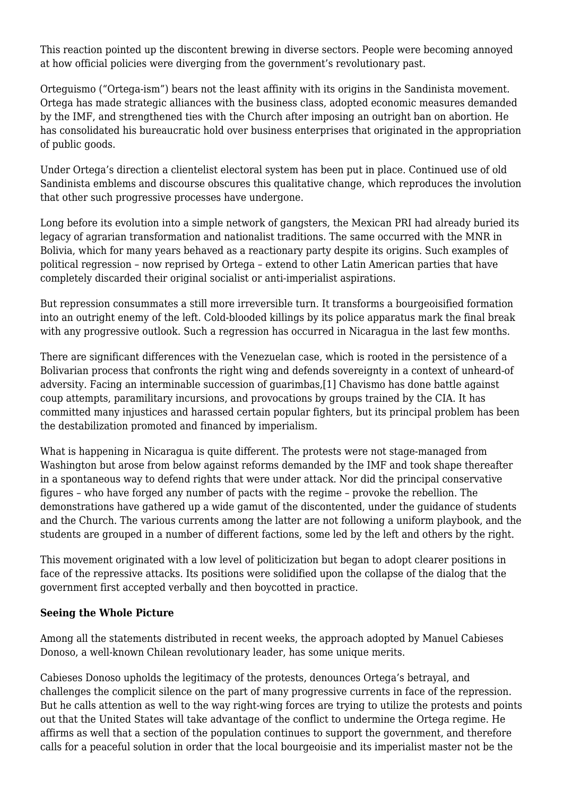This reaction pointed up the discontent brewing in diverse sectors. People were becoming annoyed at how official policies were diverging from the government's revolutionary past.

Orteguismo ("Ortega-ism") bears not the least affinity with its origins in the Sandinista movement. Ortega has made strategic alliances with the business class, adopted economic measures demanded by the IMF, and strengthened ties with the Church after imposing an outright ban on abortion. He has consolidated his bureaucratic hold over business enterprises that originated in the appropriation of public goods.

Under Ortega's direction a clientelist electoral system has been put in place. Continued use of old Sandinista emblems and discourse obscures this qualitative change, which reproduces the involution that other such progressive processes have undergone.

Long before its evolution into a simple network of gangsters, the Mexican PRI had already buried its legacy of agrarian transformation and nationalist traditions. The same occurred with the MNR in Bolivia, which for many years behaved as a reactionary party despite its origins. Such examples of political regression – now reprised by Ortega – extend to other Latin American parties that have completely discarded their original socialist or anti-imperialist aspirations.

But repression consummates a still more irreversible turn. It transforms a bourgeoisified formation into an outright enemy of the left. Cold-blooded killings by its police apparatus mark the final break with any progressive outlook. Such a regression has occurred in Nicaragua in the last few months.

<span id="page-1-0"></span>There are significant differences with the Venezuelan case, which is rooted in the persistence of a Bolivarian process that confronts the right wing and defends sovereignty in a context of unheard-of adversity. Facing an interminable succession of guarimbas,[\[1\]](#page-3-0) Chavismo has done battle against coup attempts, paramilitary incursions, and provocations by groups trained by the CIA. It has committed many injustices and harassed certain popular fighters, but its principal problem has been the destabilization promoted and financed by imperialism.

What is happening in Nicaragua is quite different. The protests were not stage-managed from Washington but arose from below against reforms demanded by the IMF and took shape thereafter in a spontaneous way to defend rights that were under attack. Nor did the principal conservative figures – who have forged any number of pacts with the regime – provoke the rebellion. The demonstrations have gathered up a wide gamut of the discontented, under the guidance of students and the Church. The various currents among the latter are not following a uniform playbook, and the students are grouped in a number of different factions, some led by the left and others by the right.

This movement originated with a low level of politicization but began to adopt clearer positions in face of the repressive attacks. Its positions were solidified upon the collapse of the dialog that the government first accepted verbally and then boycotted in practice.

## **Seeing the Whole Picture**

Among all the statements distributed in recent weeks, the approach adopted by Manuel Cabieses Donoso, a well-known Chilean revolutionary leader, has some unique merits.

<span id="page-1-1"></span>Cabieses Donoso upholds the legitimacy of the protests, denounces Ortega's betrayal, and challenges the complicit silence on the part of many progressive currents in face of the repression. But he calls attention as well to the way right-wing forces are trying to utilize the protests and points out that the United States will take advantage of the conflict to undermine the Ortega regime. He affirms as well that a section of the population continues to support the government, and therefore calls for a peaceful solution in order that the local bourgeoisie and its imperialist master not be the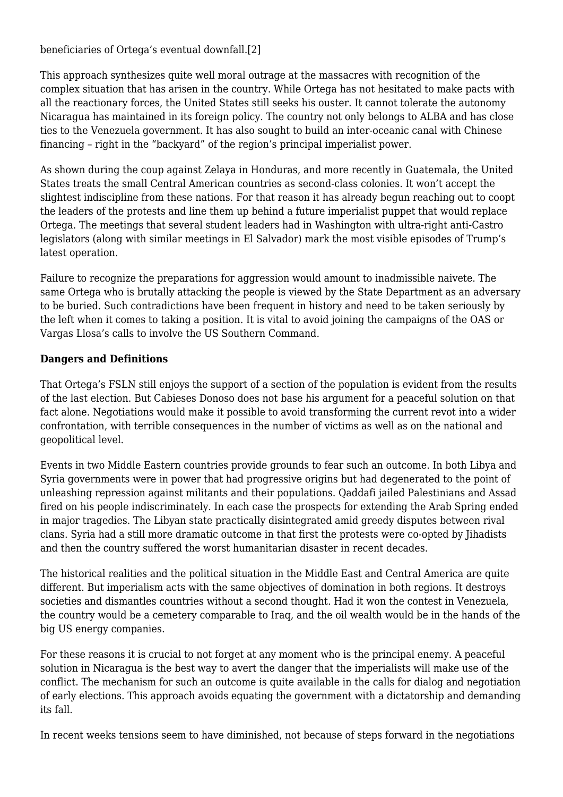beneficiaries of Ortega's eventual downfall.[\[2\]](#page-3-1)

This approach synthesizes quite well moral outrage at the massacres with recognition of the complex situation that has arisen in the country. While Ortega has not hesitated to make pacts with all the reactionary forces, the United States still seeks his ouster. It cannot tolerate the autonomy Nicaragua has maintained in its foreign policy. The country not only belongs to ALBA and has close ties to the Venezuela government. It has also sought to build an inter-oceanic canal with Chinese financing – right in the "backyard" of the region's principal imperialist power.

As shown during the coup against Zelaya in Honduras, and more recently in Guatemala, the United States treats the small Central American countries as second-class colonies. It won't accept the slightest indiscipline from these nations. For that reason it has already begun reaching out to coopt the leaders of the protests and line them up behind a future imperialist puppet that would replace Ortega. The meetings that several student leaders had in Washington with ultra-right anti-Castro legislators (along with similar meetings in El Salvador) mark the most visible episodes of Trump's latest operation.

Failure to recognize the preparations for aggression would amount to inadmissible naivete. The same Ortega who is brutally attacking the people is viewed by the State Department as an adversary to be buried. Such contradictions have been frequent in history and need to be taken seriously by the left when it comes to taking a position. It is vital to avoid joining the campaigns of the OAS or Vargas Llosa's calls to involve the US Southern Command.

## **Dangers and Definitions**

That Ortega's FSLN still enjoys the support of a section of the population is evident from the results of the last election. But Cabieses Donoso does not base his argument for a peaceful solution on that fact alone. Negotiations would make it possible to avoid transforming the current revot into a wider confrontation, with terrible consequences in the number of victims as well as on the national and geopolitical level.

Events in two Middle Eastern countries provide grounds to fear such an outcome. In both Libya and Syria governments were in power that had progressive origins but had degenerated to the point of unleashing repression against militants and their populations. Qaddafi jailed Palestinians and Assad fired on his people indiscriminately. In each case the prospects for extending the Arab Spring ended in major tragedies. The Libyan state practically disintegrated amid greedy disputes between rival clans. Syria had a still more dramatic outcome in that first the protests were co-opted by Jihadists and then the country suffered the worst humanitarian disaster in recent decades.

The historical realities and the political situation in the Middle East and Central America are quite different. But imperialism acts with the same objectives of domination in both regions. It destroys societies and dismantles countries without a second thought. Had it won the contest in Venezuela, the country would be a cemetery comparable to Iraq, and the oil wealth would be in the hands of the big US energy companies.

For these reasons it is crucial to not forget at any moment who is the principal enemy. A peaceful solution in Nicaragua is the best way to avert the danger that the imperialists will make use of the conflict. The mechanism for such an outcome is quite available in the calls for dialog and negotiation of early elections. This approach avoids equating the government with a dictatorship and demanding its fall.

In recent weeks tensions seem to have diminished, not because of steps forward in the negotiations